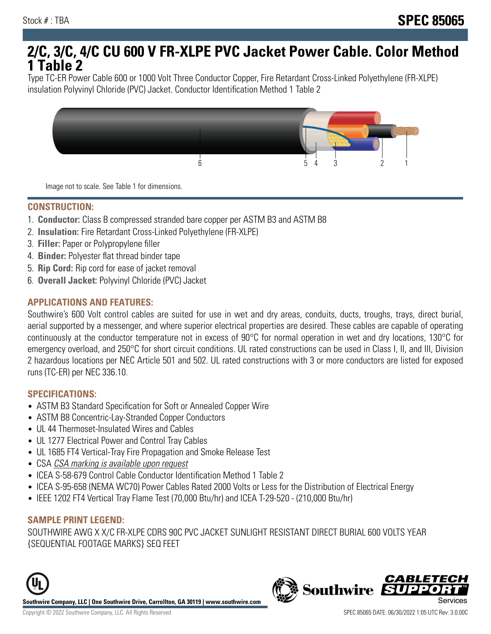# **2/C, 3/C, 4/C CU 600 V FR-XLPE PVC Jacket Power Cable. Color Method 1 Table 2**

Type TC-ER Power Cable 600 or 1000 Volt Three Conductor Copper, Fire Retardant Cross-Linked Polyethylene (FR-XLPE) insulation Polyvinyl Chloride (PVC) Jacket. Conductor Identification Method 1 Table 2



Image not to scale. See Table 1 for dimensions.

#### **CONSTRUCTION:**

- 1. **Conductor:** Class B compressed stranded bare copper per ASTM B3 and ASTM B8
- 2. **Insulation:** Fire Retardant Cross-Linked Polyethylene (FR-XLPE)
- 3. **Filler:** Paper or Polypropylene filler
- 4. **Binder:** Polyester flat thread binder tape
- 5. **Rip Cord:** Rip cord for ease of jacket removal
- 6. **Overall Jacket:** Polyvinyl Chloride (PVC) Jacket

## **APPLICATIONS AND FEATURES:**

Southwire's 600 Volt control cables are suited for use in wet and dry areas, conduits, ducts, troughs, trays, direct burial, aerial supported by a messenger, and where superior electrical properties are desired. These cables are capable of operating continuously at the conductor temperature not in excess of 90°C for normal operation in wet and dry locations, 130°C for emergency overload, and 250°C for short circuit conditions. UL rated constructions can be used in Class I, II, and III, Division 2 hazardous locations per NEC Article 501 and 502. UL rated constructions with 3 or more conductors are listed for exposed runs (TC-ER) per NEC 336.10.

#### **SPECIFICATIONS:**

- ASTM B3 Standard Specification for Soft or Annealed Copper Wire
- ASTM B8 Concentric-Lay-Stranded Copper Conductors
- UL 44 Thermoset-Insulated Wires and Cables
- UL 1277 Electrical Power and Control Tray Cables
- UL 1685 FT4 Vertical-Tray Fire Propagation and Smoke Release Test
- CSA CSA marking is available upon request
- ICEA S-58-679 Control Cable Conductor Identification Method 1 Table 2
- ICEA S-95-658 (NEMA WC70) Power Cables Rated 2000 Volts or Less for the Distribution of Electrical Energy
- IEEE 1202 FT4 Vertical Tray Flame Test (70,000 Btu/hr) and ICEA T-29-520 (210,000 Btu/hr)

#### **SAMPLE PRINT LEGEND:**

SOUTHWIRE AWG X X/C FR-XLPE CDRS 90C PVC JACKET SUNLIGHT RESISTANT DIRECT BURIAL 600 VOLTS YEAR {SEQUENTIAL FOOTAGE MARKS} SEQ FEET